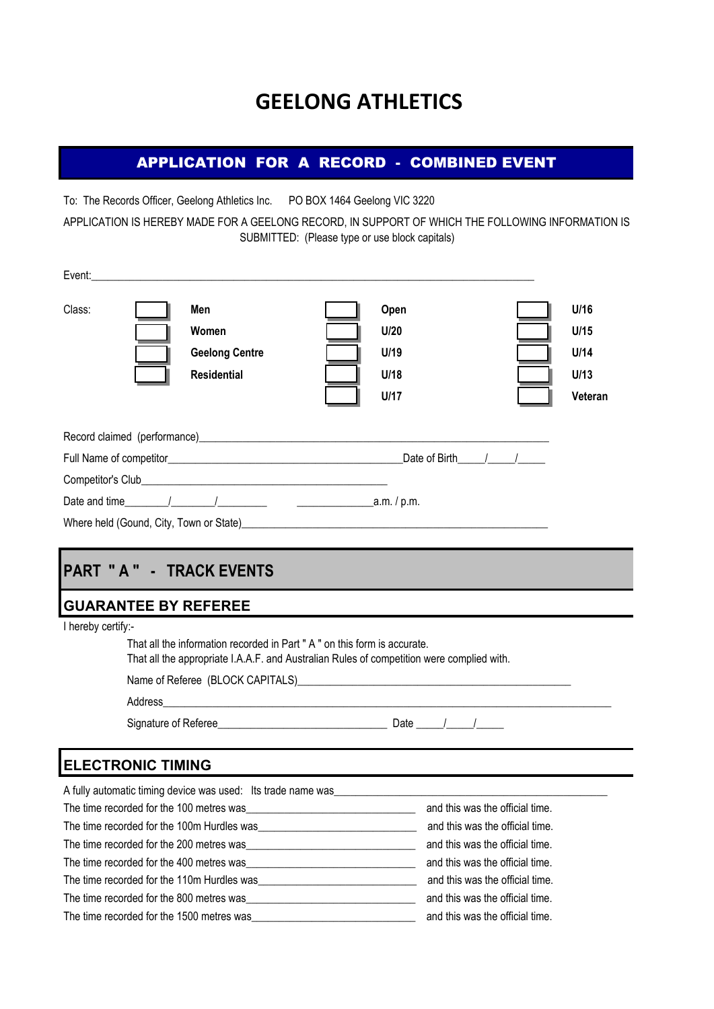# **GEELONG ATHLETICS**

### APPLICATION FOR A RECORD - COMBINED EVENT

To: The Records Officer, Geelong Athletics Inc. PO BOX 1464 Geelong VIC 3220

APPLICATION IS HEREBY MADE FOR A GEELONG RECORD, IN SUPPORT OF WHICH THE FOLLOWING INFORMATION IS SUBMITTED: (Please type or use block capitals)

| Class: | Men<br>Women<br><b>Geelong Centre</b><br><b>Residential</b> | Open<br>U/20<br>U/19<br>U/18<br>U/17                                                                                                                                                                                             | U/16<br>U/15<br>U/14<br>U/13<br>Veteran |
|--------|-------------------------------------------------------------|----------------------------------------------------------------------------------------------------------------------------------------------------------------------------------------------------------------------------------|-----------------------------------------|
|        |                                                             | Record claimed (performance) example and the contract of the contract of the contract of the contract of the contract of the contract of the contract of the contract of the contract of the contract of the contract of the c   |                                         |
|        |                                                             | Date of Birth / /                                                                                                                                                                                                                |                                         |
|        |                                                             |                                                                                                                                                                                                                                  |                                         |
|        |                                                             |                                                                                                                                                                                                                                  |                                         |
|        |                                                             | Where held (Gound, City, Town or State)<br>Subsequently and the state of the state of the state of the state of the state of the state of the state of the state of the state of the state of the state of the state of the stat |                                         |

## **PART " A " - TRACK EVENTS**

### **GUARANTEE BY REFEREE**

I hereby certify:-

| That all the information recorded in Part "A" on this form is accurate.<br>That all the appropriate I.A.A.F. and Australian Rules of competition were complied with. |  |                           |  |
|----------------------------------------------------------------------------------------------------------------------------------------------------------------------|--|---------------------------|--|
|                                                                                                                                                                      |  |                           |  |
|                                                                                                                                                                      |  |                           |  |
| Signature of Referee Signature of Referee                                                                                                                            |  | Date $\frac{1}{\sqrt{2}}$ |  |
|                                                                                                                                                                      |  |                           |  |
| <b>ANUA TIMINIA</b>                                                                                                                                                  |  |                           |  |

### **ELECTRONIC TIMING**

| A fully automatic timing device was used: Its trade name was |                                 |
|--------------------------------------------------------------|---------------------------------|
| The time recorded for the 100 metres was                     | and this was the official time. |
| The time recorded for the 100m Hurdles was                   | and this was the official time. |
| The time recorded for the 200 metres was                     | and this was the official time. |
| The time recorded for the 400 metres was                     | and this was the official time. |
| The time recorded for the 110m Hurdles was                   | and this was the official time. |
| The time recorded for the 800 metres was                     | and this was the official time. |
| The time recorded for the 1500 metres was                    | and this was the official time. |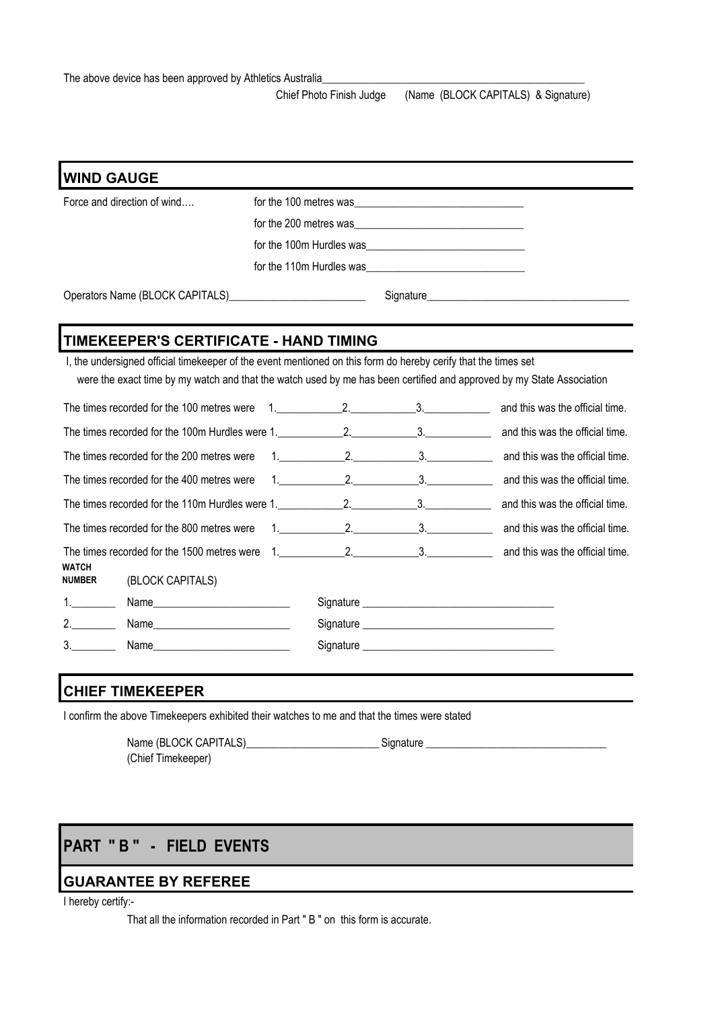Chief Photo Finish Judge (Name (BLOCK CAPITALS) & Signature)

|               | <b>WIND GAUGE</b>                                                                                              |                          |                                                                                                                       |
|---------------|----------------------------------------------------------------------------------------------------------------|--------------------------|-----------------------------------------------------------------------------------------------------------------------|
|               | Force and direction of wind                                                                                    | for the 100 metres was   |                                                                                                                       |
|               |                                                                                                                | for the 200 metres was   |                                                                                                                       |
|               |                                                                                                                | for the 100m Hurdles was |                                                                                                                       |
|               |                                                                                                                | for the 110m Hurdles was |                                                                                                                       |
|               |                                                                                                                |                          |                                                                                                                       |
|               | TIMEKEEPER'S CERTIFICATE - HAND TIMING                                                                         |                          |                                                                                                                       |
|               | I, the undersigned official timekeeper of the event mentioned on this form do hereby cerify that the times set |                          | were the exact time by my watch and that the watch used by me has been certified and approved by my State Association |
|               | The times recorded for the 100 metres were                                                                     | $1.$ 2. 3.               | and this was the official time.                                                                                       |
|               |                                                                                                                |                          | and this was the official time.                                                                                       |
|               | The times recorded for the 200 metres were                                                                     |                          | 1. 2. 2. 2. 3. and this was the official time.                                                                        |
|               | The times recorded for the 400 metres were                                                                     | $1.$ 2. $2.$ 3.          | and this was the official time.                                                                                       |
|               |                                                                                                                |                          |                                                                                                                       |
|               | The times recorded for the 800 metres were                                                                     |                          | 1. 2. 2. 2. 3. and this was the official time.                                                                        |
| <b>WATCH</b>  | The times recorded for the 1500 metres were                                                                    |                          | 1. 2. 2. 3. and this was the official time.                                                                           |
| <b>NUMBER</b> | (BLOCK CAPITALS)                                                                                               |                          |                                                                                                                       |
|               |                                                                                                                |                          |                                                                                                                       |
| 2.            |                                                                                                                |                          |                                                                                                                       |
| 3.            |                                                                                                                |                          |                                                                                                                       |

### **CHIEF TIMEKEEPER**

I confirm the above Timekeepers exhibited their watches to me and that the times were stated

Name (BLOCK CAPITALS)\_\_\_\_\_\_\_\_\_\_\_\_\_\_\_\_\_\_\_\_\_\_\_\_\_Signature \_\_\_\_\_\_\_\_\_\_\_\_\_\_\_\_\_\_\_\_\_\_\_\_\_\_\_\_\_\_\_\_\_ (Chief Timekeeper)

## **PART " B " - FIELD EVENTS**

### **GUARANTEE BY REFEREE**

I hereby certify:-

That all the information recorded in Part " B " on this form is accurate.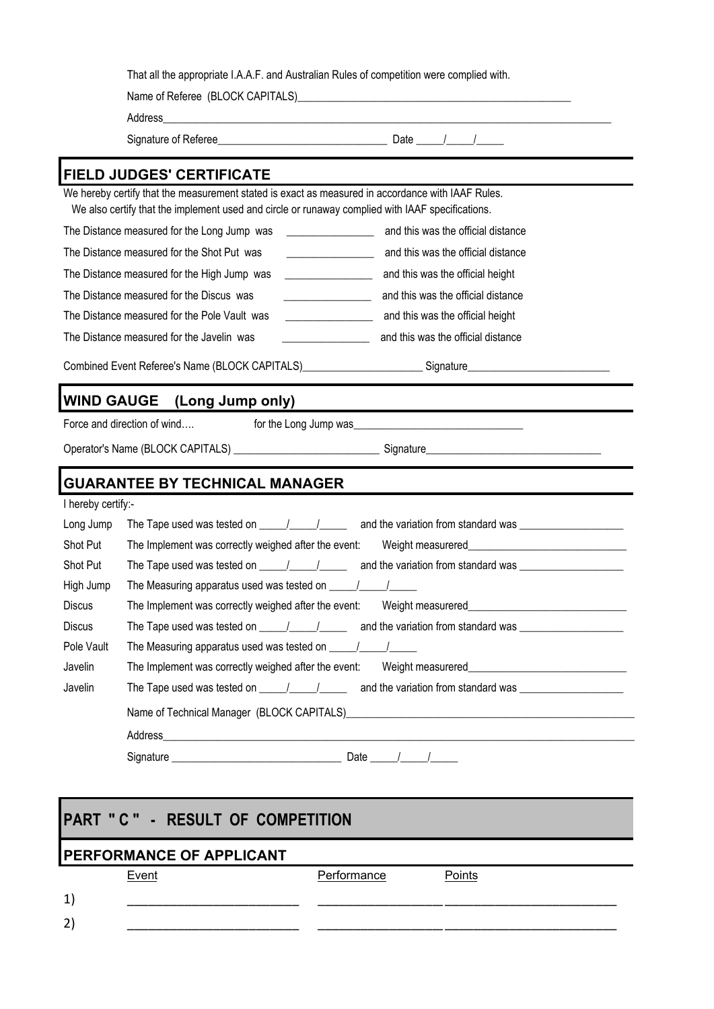|                                 | <b>FIELD JUDGES' CERTIFICATE</b>                                                                                                                                                                                                                                                                                                                                                                                                                                                |                                                                                                                                                     |  |
|---------------------------------|---------------------------------------------------------------------------------------------------------------------------------------------------------------------------------------------------------------------------------------------------------------------------------------------------------------------------------------------------------------------------------------------------------------------------------------------------------------------------------|-----------------------------------------------------------------------------------------------------------------------------------------------------|--|
|                                 | We hereby certify that the measurement stated is exact as measured in accordance with IAAF Rules.<br>We also certify that the implement used and circle or runaway complied with IAAF specifications.                                                                                                                                                                                                                                                                           |                                                                                                                                                     |  |
|                                 | The Distance measured for the Long Jump was<br>$\label{eq:2.1} \begin{array}{ll} \mathcal{L}_{\text{max}}(\mathcal{L}_{\text{max}}) & \mathcal{L}_{\text{max}}(\mathcal{L}_{\text{max}}) \\ \mathcal{L}_{\text{max}}(\mathcal{L}_{\text{max}}) & \mathcal{L}_{\text{max}}(\mathcal{L}_{\text{max}}) \end{array}$                                                                                                                                                                | and this was the official distance                                                                                                                  |  |
|                                 | The Distance measured for the Shot Put was<br><u> 1989 - Johann Barbara, martin d</u>                                                                                                                                                                                                                                                                                                                                                                                           | and this was the official distance                                                                                                                  |  |
|                                 | The Distance measured for the High Jump was<br>$\overline{\phantom{a}}$ . The contract of $\overline{\phantom{a}}$ , $\overline{\phantom{a}}$ , $\overline{\phantom{a}}$ , $\overline{\phantom{a}}$ , $\overline{\phantom{a}}$ , $\overline{\phantom{a}}$ , $\overline{\phantom{a}}$ , $\overline{\phantom{a}}$ , $\overline{\phantom{a}}$ , $\overline{\phantom{a}}$ , $\overline{\phantom{a}}$ , $\overline{\phantom{a}}$ , $\overline{\phantom{a}}$ , $\overline{\phantom{a$ | and this was the official height                                                                                                                    |  |
|                                 | The Distance measured for the Discus was<br><u> 1989 - Johann Barbara, martxa eta i</u>                                                                                                                                                                                                                                                                                                                                                                                         | and this was the official distance                                                                                                                  |  |
|                                 | The Distance measured for the Pole Vault was                                                                                                                                                                                                                                                                                                                                                                                                                                    | and this was the official height                                                                                                                    |  |
|                                 | The Distance measured for the Javelin was                                                                                                                                                                                                                                                                                                                                                                                                                                       | and this was the official distance                                                                                                                  |  |
|                                 |                                                                                                                                                                                                                                                                                                                                                                                                                                                                                 | Combined Event Referee's Name (BLOCK CAPITALS)_________________________Signature______________________________                                      |  |
|                                 |                                                                                                                                                                                                                                                                                                                                                                                                                                                                                 |                                                                                                                                                     |  |
|                                 | <b>WIND GAUGE</b> (Long Jump only)                                                                                                                                                                                                                                                                                                                                                                                                                                              |                                                                                                                                                     |  |
|                                 | Force and direction of wind                                                                                                                                                                                                                                                                                                                                                                                                                                                     | for the Long Jump was                                                                                                                               |  |
|                                 |                                                                                                                                                                                                                                                                                                                                                                                                                                                                                 |                                                                                                                                                     |  |
|                                 |                                                                                                                                                                                                                                                                                                                                                                                                                                                                                 |                                                                                                                                                     |  |
|                                 | <b>GUARANTEE BY TECHNICAL MANAGER</b>                                                                                                                                                                                                                                                                                                                                                                                                                                           |                                                                                                                                                     |  |
| I hereby certify:-<br>Long Jump |                                                                                                                                                                                                                                                                                                                                                                                                                                                                                 |                                                                                                                                                     |  |
| Shot Put                        | The Implement was correctly weighed after the event:                                                                                                                                                                                                                                                                                                                                                                                                                            |                                                                                                                                                     |  |
| Shot Put                        |                                                                                                                                                                                                                                                                                                                                                                                                                                                                                 | The Tape used was tested on $\underline{\qquad \qquad}$ $\underline{\qquad \qquad}$ and the variation from standard was $\underline{\qquad \qquad}$ |  |
| High Jump                       |                                                                                                                                                                                                                                                                                                                                                                                                                                                                                 |                                                                                                                                                     |  |
| <b>Discus</b>                   | The Implement was correctly weighed after the event:                                                                                                                                                                                                                                                                                                                                                                                                                            |                                                                                                                                                     |  |
| <b>Discus</b>                   | The Tape used was tested on $\frac{1}{\sqrt{1-\frac{1}{2}}}\$                                                                                                                                                                                                                                                                                                                                                                                                                   |                                                                                                                                                     |  |
| Pole Vault                      |                                                                                                                                                                                                                                                                                                                                                                                                                                                                                 |                                                                                                                                                     |  |
| Javelin                         | The Implement was correctly weighed after the event:                                                                                                                                                                                                                                                                                                                                                                                                                            |                                                                                                                                                     |  |
| Javelin                         |                                                                                                                                                                                                                                                                                                                                                                                                                                                                                 |                                                                                                                                                     |  |
|                                 |                                                                                                                                                                                                                                                                                                                                                                                                                                                                                 | Name of Technical Manager (BLOCK CAPITALS)<br>Mame of Technical Manager (BLOCK CAPITALS)<br>Mame of Technical Manager (BLOCK CAPITALS)              |  |
|                                 |                                                                                                                                                                                                                                                                                                                                                                                                                                                                                 |                                                                                                                                                     |  |

# **PART " C " - RESULT OF COMPETITION PERFORMANCE OF APPLICANT** Event **Performance** Points 1) \_\_\_\_\_\_\_\_\_\_\_\_\_\_\_\_\_\_\_\_\_\_\_\_ \_\_\_\_\_\_\_\_\_\_\_\_\_\_\_\_\_\_\_\_\_\_\_\_ \_\_\_\_\_\_\_\_\_\_\_\_\_\_\_\_\_\_\_\_\_\_\_\_ 2) \_\_\_\_\_\_\_\_\_\_\_\_\_\_\_\_\_\_\_\_\_\_\_\_ \_\_\_\_\_\_\_\_\_\_\_\_\_\_\_\_\_\_\_\_\_\_\_\_ \_\_\_\_\_\_\_\_\_\_\_\_\_\_\_\_\_\_\_\_\_\_\_\_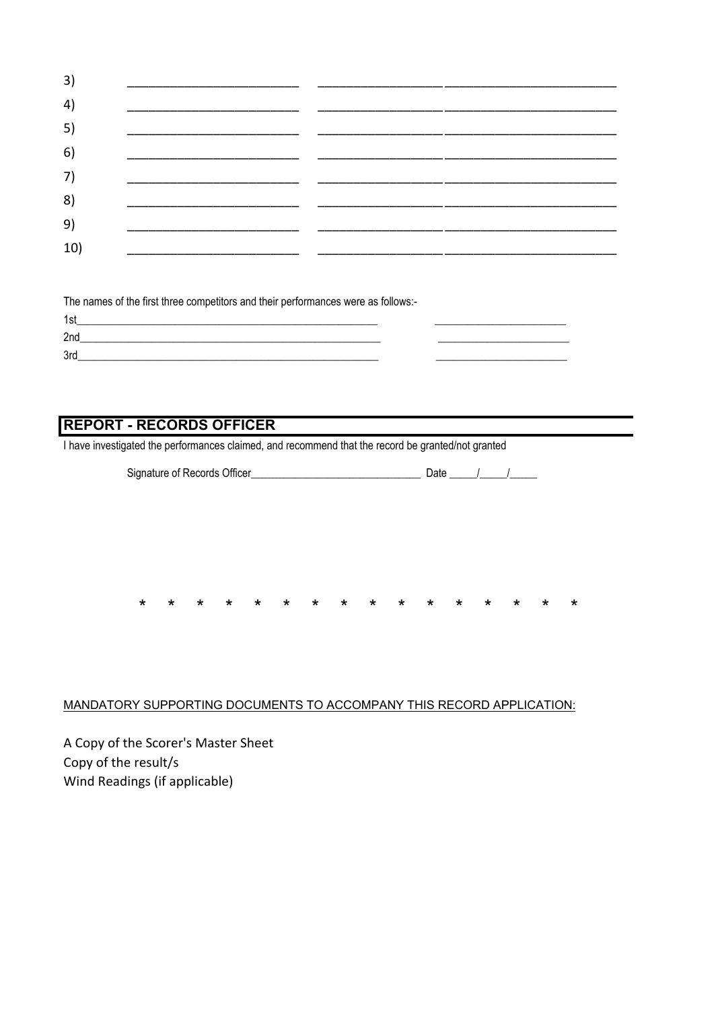| 3)  |  |  |
|-----|--|--|
| 4)  |  |  |
| 5)  |  |  |
| 6)  |  |  |
| 7)  |  |  |
| 8)  |  |  |
| 9)  |  |  |
| 10) |  |  |

The names of the first three competitors and their performances were as follows:- $1<sub>0</sub>$ 

| 'ISI |  |  |
|------|--|--|
| 2nd  |  |  |
| 3rd  |  |  |
|      |  |  |

### **REPORT - RECORDS OFFICER**

I have investigated the performances claimed, and recommend that the record be granted/not granted

| Signature of Records Officer |  |  |  |
|------------------------------|--|--|--|
|                              |  |  |  |

 $\star$ 

∗

÷

 $\star$ 

 $\star$ 

#### MANDATORY SUPPORTING DOCUMENTS TO ACCOMPANY THIS RECORD APPLICATION:

A Copy of the Scorer's Master Sheet Copy of the result/s Wind Readings (if applicable)

 $\star$ 

 $\star$ 

 $\ddot{\textbf{r}}$